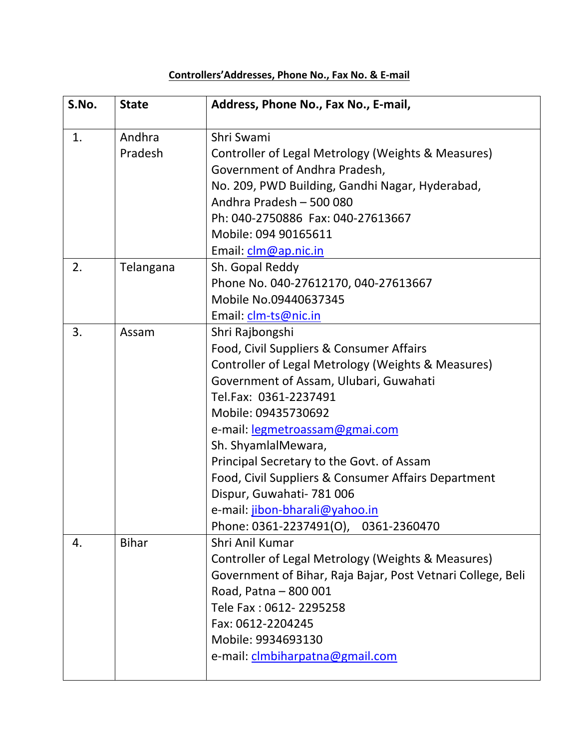## **Controllers'Addresses, Phone No., Fax No. & E-mail**

| S.No. | <b>State</b> | Address, Phone No., Fax No., E-mail,                        |
|-------|--------------|-------------------------------------------------------------|
| 1.    | Andhra       | Shri Swami                                                  |
|       | Pradesh      | Controller of Legal Metrology (Weights & Measures)          |
|       |              | Government of Andhra Pradesh,                               |
|       |              | No. 209, PWD Building, Gandhi Nagar, Hyderabad,             |
|       |              | Andhra Pradesh - 500 080                                    |
|       |              | Ph: 040-2750886 Fax: 040-27613667                           |
|       |              | Mobile: 094 90165611                                        |
|       |              | Email: clm@ap.nic.in                                        |
| 2.    | Telangana    | Sh. Gopal Reddy                                             |
|       |              | Phone No. 040-27612170, 040-27613667                        |
|       |              | Mobile No.09440637345                                       |
|       |              | Email: clm-ts@nic.in                                        |
| 3.    | Assam        | Shri Rajbongshi                                             |
|       |              | Food, Civil Suppliers & Consumer Affairs                    |
|       |              | Controller of Legal Metrology (Weights & Measures)          |
|       |              | Government of Assam, Ulubari, Guwahati                      |
|       |              | Tel.Fax: 0361-2237491                                       |
|       |              | Mobile: 09435730692                                         |
|       |              | e-mail: legmetroassam@gmai.com                              |
|       |              | Sh. ShyamlalMewara,                                         |
|       |              | Principal Secretary to the Govt. of Assam                   |
|       |              | Food, Civil Suppliers & Consumer Affairs Department         |
|       |              | Dispur, Guwahati- 781 006                                   |
|       |              | e-mail: jibon-bharali@yahoo.in                              |
|       |              | Phone: 0361-2237491(O), 0361-2360470                        |
| 4.    | <b>Bihar</b> | Shri Anil Kumar                                             |
|       |              | Controller of Legal Metrology (Weights & Measures)          |
|       |              | Government of Bihar, Raja Bajar, Post Vetnari College, Beli |
|       |              | Road, Patna - 800 001                                       |
|       |              | Tele Fax: 0612-2295258                                      |
|       |              | Fax: 0612-2204245                                           |
|       |              | Mobile: 9934693130                                          |
|       |              | e-mail: clmbiharpatna@gmail.com                             |
|       |              |                                                             |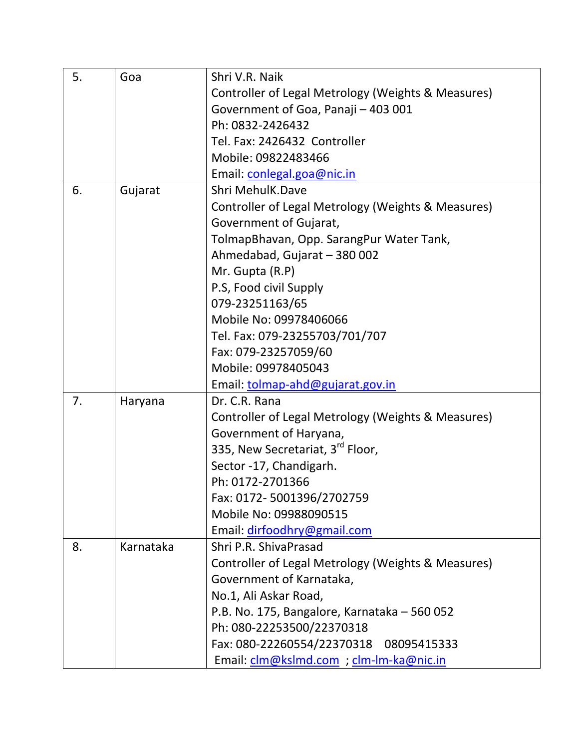| 5. | Goa       | Shri V.R. Naik                                     |
|----|-----------|----------------------------------------------------|
|    |           | Controller of Legal Metrology (Weights & Measures) |
|    |           | Government of Goa, Panaji - 403 001                |
|    |           | Ph: 0832-2426432                                   |
|    |           | Tel. Fax: 2426432 Controller                       |
|    |           | Mobile: 09822483466                                |
|    |           | Email: conlegal.goa@nic.in                         |
| 6. | Gujarat   | Shri MehulK.Dave                                   |
|    |           | Controller of Legal Metrology (Weights & Measures) |
|    |           | Government of Gujarat,                             |
|    |           | TolmapBhavan, Opp. SarangPur Water Tank,           |
|    |           | Ahmedabad, Gujarat - 380 002                       |
|    |           | Mr. Gupta (R.P)                                    |
|    |           | P.S, Food civil Supply                             |
|    |           | 079-23251163/65                                    |
|    |           | Mobile No: 09978406066                             |
|    |           | Tel. Fax: 079-23255703/701/707                     |
|    |           | Fax: 079-23257059/60                               |
|    |           | Mobile: 09978405043                                |
|    |           | Email: tolmap-ahd@gujarat.gov.in                   |
| 7. | Haryana   | Dr. C.R. Rana                                      |
|    |           | Controller of Legal Metrology (Weights & Measures) |
|    |           | Government of Haryana,                             |
|    |           | 335, New Secretariat, 3 <sup>rd</sup> Floor,       |
|    |           | Sector -17, Chandigarh.                            |
|    |           | Ph: 0172-2701366                                   |
|    |           | Fax: 0172-5001396/2702759                          |
|    |           | Mobile No: 09988090515                             |
|    |           | Email: dirfoodhry@gmail.com                        |
| 8. | Karnataka | Shri P.R. ShivaPrasad                              |
|    |           | Controller of Legal Metrology (Weights & Measures) |
|    |           | Government of Karnataka,                           |
|    |           | No.1, Ali Askar Road,                              |
|    |           | P.B. No. 175, Bangalore, Karnataka - 560 052       |
|    |           | Ph: 080-22253500/22370318                          |
|    |           | Fax: 080-22260554/22370318<br>08095415333          |
|    |           | Email: clm@kslmd.com ; clm-lm-ka@nic.in            |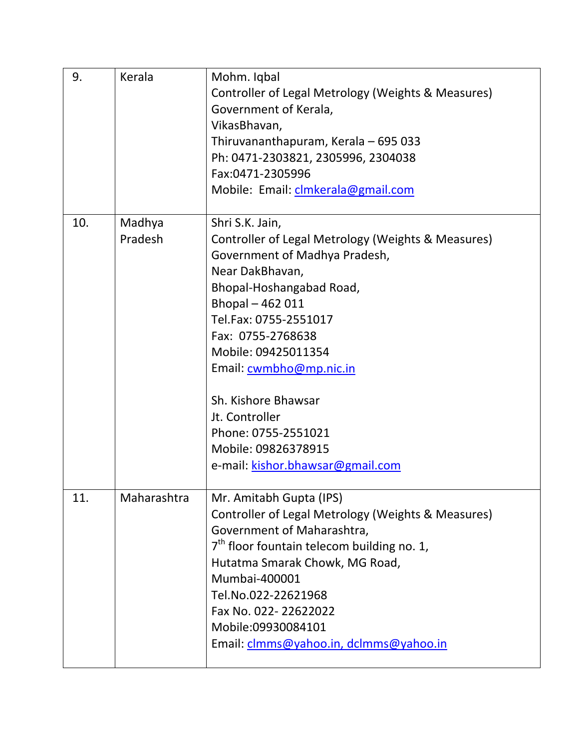| 9.  | Kerala            | Mohm. Iqbal<br>Controller of Legal Metrology (Weights & Measures)<br>Government of Kerala,<br>VikasBhavan,<br>Thiruvananthapuram, Kerala - 695 033<br>Ph: 0471-2303821, 2305996, 2304038<br>Fax:0471-2305996<br>Mobile: Email: clmkerala@gmail.com                                                                                                                                                |
|-----|-------------------|---------------------------------------------------------------------------------------------------------------------------------------------------------------------------------------------------------------------------------------------------------------------------------------------------------------------------------------------------------------------------------------------------|
| 10. | Madhya<br>Pradesh | Shri S.K. Jain,<br>Controller of Legal Metrology (Weights & Measures)<br>Government of Madhya Pradesh,<br>Near DakBhavan,<br>Bhopal-Hoshangabad Road,<br>Bhopal-462011<br>Tel.Fax: 0755-2551017<br>Fax: 0755-2768638<br>Mobile: 09425011354<br>Email: cwmbho@mp.nic.in<br>Sh. Kishore Bhawsar<br>Jt. Controller<br>Phone: 0755-2551021<br>Mobile: 09826378915<br>e-mail: kishor.bhawsar@gmail.com |
| 11. | Maharashtra       | Mr. Amitabh Gupta (IPS)<br>Controller of Legal Metrology (Weights & Measures)<br>Government of Maharashtra,<br>$7th$ floor fountain telecom building no. 1,<br>Hutatma Smarak Chowk, MG Road,<br>Mumbai-400001<br>Tel.No.022-22621968<br>Fax No. 022-22622022<br>Mobile:09930084101<br>Email: clmms@yahoo.in, dclmms@yahoo.in                                                                     |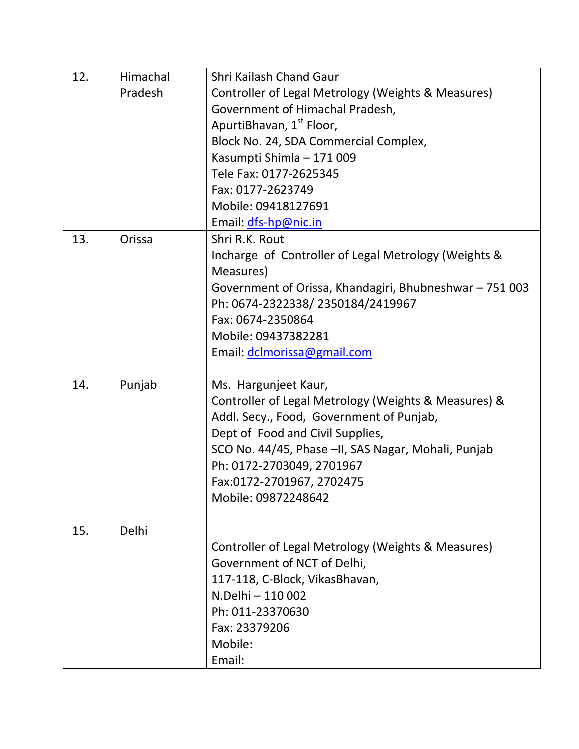| 12. | Himachal | Shri Kailash Chand Gaur                                 |
|-----|----------|---------------------------------------------------------|
|     | Pradesh  | Controller of Legal Metrology (Weights & Measures)      |
|     |          | Government of Himachal Pradesh,                         |
|     |          | ApurtiBhavan, 1st Floor,                                |
|     |          | Block No. 24, SDA Commercial Complex,                   |
|     |          | Kasumpti Shimla - 171 009                               |
|     |          | Tele Fax: 0177-2625345                                  |
|     |          | Fax: 0177-2623749                                       |
|     |          | Mobile: 09418127691                                     |
|     |          | Email: dfs-hp@nic.in                                    |
| 13. | Orissa   | Shri R.K. Rout                                          |
|     |          | Incharge of Controller of Legal Metrology (Weights &    |
|     |          | Measures)                                               |
|     |          | Government of Orissa, Khandagiri, Bhubneshwar - 751 003 |
|     |          | Ph: 0674-2322338/2350184/2419967                        |
|     |          | Fax: 0674-2350864                                       |
|     |          | Mobile: 09437382281                                     |
|     |          | Email: dclmorissa@gmail.com                             |
|     |          |                                                         |
| 14. | Punjab   | Ms. Hargunjeet Kaur,                                    |
|     |          | Controller of Legal Metrology (Weights & Measures) &    |
|     |          | Addl. Secy., Food, Government of Punjab,                |
|     |          | Dept of Food and Civil Supplies,                        |
|     |          | SCO No. 44/45, Phase -II, SAS Nagar, Mohali, Punjab     |
|     |          | Ph: 0172-2703049, 2701967                               |
|     |          | Fax:0172-2701967, 2702475                               |
|     |          | Mobile: 09872248642                                     |
|     |          |                                                         |
| 15. | Delhi    |                                                         |
|     |          | Controller of Legal Metrology (Weights & Measures)      |
|     |          | Government of NCT of Delhi,                             |
|     |          | 117-118, C-Block, VikasBhavan,                          |
|     |          | N.Delhi - 110 002                                       |
|     |          | Ph: 011-23370630                                        |
|     |          | Fax: 23379206                                           |
|     |          | Mobile:                                                 |
|     |          | Email:                                                  |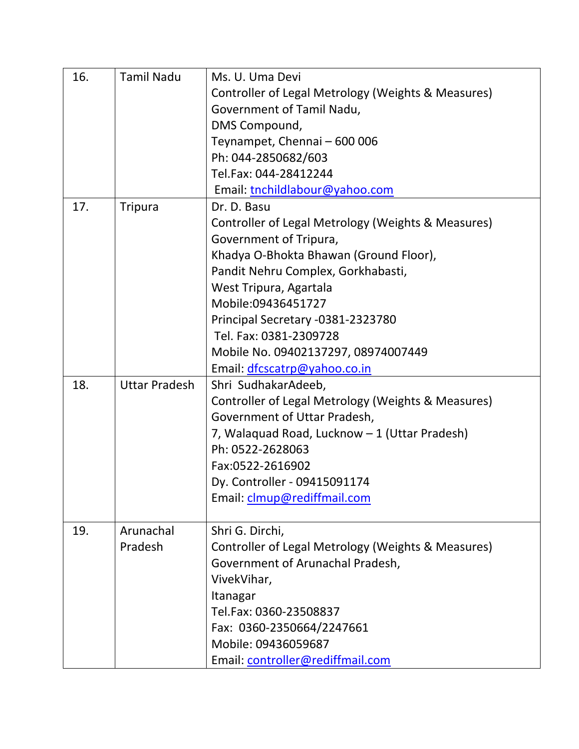| 16. | <b>Tamil Nadu</b>    | Ms. U. Uma Devi                                    |
|-----|----------------------|----------------------------------------------------|
|     |                      | Controller of Legal Metrology (Weights & Measures) |
|     |                      | Government of Tamil Nadu,                          |
|     |                      | DMS Compound,                                      |
|     |                      | Teynampet, Chennai - 600 006                       |
|     |                      | Ph: 044-2850682/603                                |
|     |                      | Tel.Fax: 044-28412244                              |
|     |                      | Email: tnchildlabour@yahoo.com                     |
| 17. | <b>Tripura</b>       | Dr. D. Basu                                        |
|     |                      | Controller of Legal Metrology (Weights & Measures) |
|     |                      | Government of Tripura,                             |
|     |                      | Khadya O-Bhokta Bhawan (Ground Floor),             |
|     |                      | Pandit Nehru Complex, Gorkhabasti,                 |
|     |                      | West Tripura, Agartala                             |
|     |                      | Mobile:09436451727                                 |
|     |                      | Principal Secretary -0381-2323780                  |
|     |                      | Tel. Fax: 0381-2309728                             |
|     |                      | Mobile No. 09402137297, 08974007449                |
|     |                      | Email: dfcscatrp@yahoo.co.in                       |
| 18. | <b>Uttar Pradesh</b> | Shri SudhakarAdeeb,                                |
|     |                      | Controller of Legal Metrology (Weights & Measures) |
|     |                      | Government of Uttar Pradesh,                       |
|     |                      | 7, Walaquad Road, Lucknow - 1 (Uttar Pradesh)      |
|     |                      | Ph: 0522-2628063                                   |
|     |                      | Fax:0522-2616902                                   |
|     |                      | Dy. Controller - 09415091174                       |
|     |                      | Email: clmup@rediffmail.com                        |
|     |                      |                                                    |
| 19. | Arunachal            | Shri G. Dirchi,                                    |
|     | Pradesh              | Controller of Legal Metrology (Weights & Measures) |
|     |                      | Government of Arunachal Pradesh,                   |
|     |                      | VivekVihar,                                        |
|     |                      | Itanagar                                           |
|     |                      | Tel.Fax: 0360-23508837                             |
|     |                      | Fax: 0360-2350664/2247661                          |
|     |                      | Mobile: 09436059687                                |
|     |                      | Email: controller@rediffmail.com                   |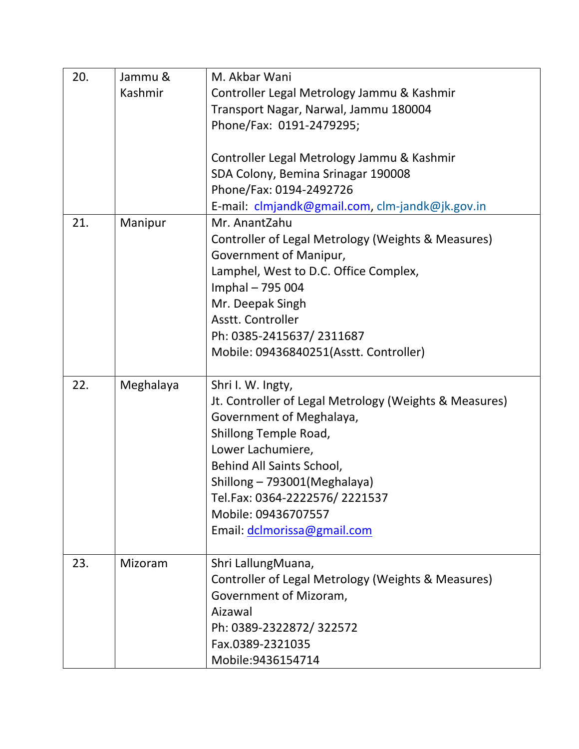| 20. | Jammu &   | M. Akbar Wani                                          |
|-----|-----------|--------------------------------------------------------|
|     | Kashmir   | Controller Legal Metrology Jammu & Kashmir             |
|     |           | Transport Nagar, Narwal, Jammu 180004                  |
|     |           | Phone/Fax: 0191-2479295;                               |
|     |           |                                                        |
|     |           | Controller Legal Metrology Jammu & Kashmir             |
|     |           | SDA Colony, Bemina Srinagar 190008                     |
|     |           | Phone/Fax: 0194-2492726                                |
|     |           | E-mail: clmjandk@gmail.com, clm-jandk@jk.gov.in        |
| 21. | Manipur   | Mr. AnantZahu                                          |
|     |           | Controller of Legal Metrology (Weights & Measures)     |
|     |           | Government of Manipur,                                 |
|     |           | Lamphel, West to D.C. Office Complex,                  |
|     |           | Imphal - 795 004                                       |
|     |           | Mr. Deepak Singh                                       |
|     |           | Asstt. Controller                                      |
|     |           | Ph: 0385-2415637/2311687                               |
|     |           | Mobile: 09436840251(Asstt. Controller)                 |
|     |           |                                                        |
| 22. | Meghalaya | Shri I. W. Ingty,                                      |
|     |           | Jt. Controller of Legal Metrology (Weights & Measures) |
|     |           | Government of Meghalaya,                               |
|     |           | Shillong Temple Road,                                  |
|     |           | Lower Lachumiere,                                      |
|     |           | Behind All Saints School,                              |
|     |           | Shillong - 793001 (Meghalaya)                          |
|     |           | Tel.Fax: 0364-2222576/2221537                          |
|     |           | Mobile: 09436707557                                    |
|     |           |                                                        |
|     |           | Email: dclmorissa@gmail.com                            |
|     |           |                                                        |
| 23. | Mizoram   | Shri LallungMuana,                                     |
|     |           | Controller of Legal Metrology (Weights & Measures)     |
|     |           | Government of Mizoram,                                 |
|     |           | Aizawal                                                |
|     |           | Ph: 0389-2322872/322572                                |
|     |           | Fax.0389-2321035                                       |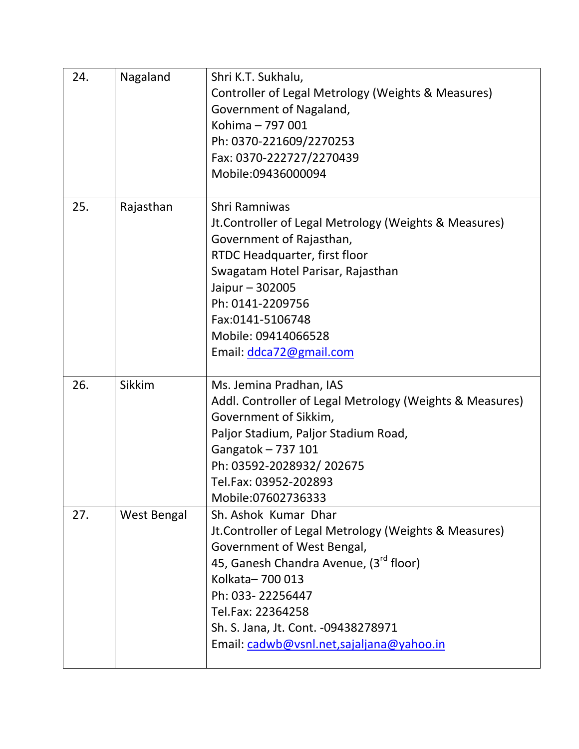| 24. | Nagaland    | Shri K.T. Sukhalu,<br>Controller of Legal Metrology (Weights & Measures)<br>Government of Nagaland,<br>Kohima - 797 001<br>Ph: 0370-221609/2270253<br>Fax: 0370-222727/2270439<br>Mobile:09436000094                                                                                                              |
|-----|-------------|-------------------------------------------------------------------------------------------------------------------------------------------------------------------------------------------------------------------------------------------------------------------------------------------------------------------|
| 25. | Rajasthan   | Shri Ramniwas<br>Jt. Controller of Legal Metrology (Weights & Measures)<br>Government of Rajasthan,<br>RTDC Headquarter, first floor<br>Swagatam Hotel Parisar, Rajasthan<br>Jaipur - 302005<br>Ph: 0141-2209756<br>Fax:0141-5106748<br>Mobile: 09414066528<br>Email: ddca72@gmail.com                            |
| 26. | Sikkim      | Ms. Jemina Pradhan, IAS<br>Addl. Controller of Legal Metrology (Weights & Measures)<br>Government of Sikkim,<br>Paljor Stadium, Paljor Stadium Road,<br>Gangatok - 737 101<br>Ph: 03592-2028932/202675<br>Tel.Fax: 03952-202893<br>Mobile:07602736333                                                             |
| 27. | West Bengal | Sh. Ashok Kumar Dhar<br>Jt. Controller of Legal Metrology (Weights & Measures)<br>Government of West Bengal,<br>45, Ganesh Chandra Avenue, (3 <sup>rd</sup> floor)<br>Kolkata-700 013<br>Ph: 033-22256447<br>Tel.Fax: 22364258<br>Sh. S. Jana, Jt. Cont. -09438278971<br>Email: cadwb@vsnl.net,sajaljana@yahoo.in |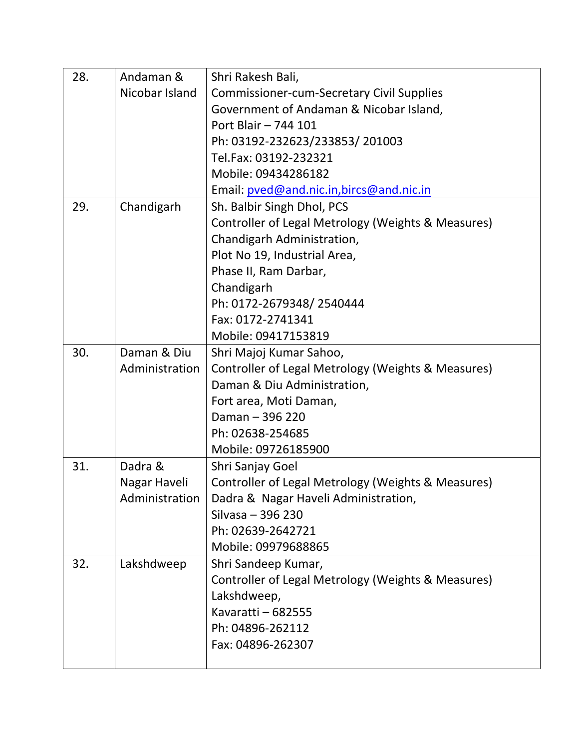| 28. | Andaman &      | Shri Rakesh Bali,                                  |
|-----|----------------|----------------------------------------------------|
|     | Nicobar Island | <b>Commissioner-cum-Secretary Civil Supplies</b>   |
|     |                | Government of Andaman & Nicobar Island,            |
|     |                | Port Blair - 744 101                               |
|     |                | Ph: 03192-232623/233853/201003                     |
|     |                | Tel.Fax: 03192-232321                              |
|     |                | Mobile: 09434286182                                |
|     |                | Email: pved@and.nic.in,bircs@and.nic.in            |
| 29. | Chandigarh     | Sh. Balbir Singh Dhol, PCS                         |
|     |                | Controller of Legal Metrology (Weights & Measures) |
|     |                | Chandigarh Administration,                         |
|     |                | Plot No 19, Industrial Area,                       |
|     |                | Phase II, Ram Darbar,                              |
|     |                | Chandigarh                                         |
|     |                | Ph: 0172-2679348/2540444                           |
|     |                | Fax: 0172-2741341                                  |
|     |                | Mobile: 09417153819                                |
| 30. | Daman & Diu    | Shri Majoj Kumar Sahoo,                            |
|     | Administration | Controller of Legal Metrology (Weights & Measures) |
|     |                | Daman & Diu Administration,                        |
|     |                | Fort area, Moti Daman,                             |
|     |                | Daman - 396 220                                    |
|     |                | Ph: 02638-254685                                   |
|     |                | Mobile: 09726185900                                |
| 31. | Dadra &        | Shri Sanjay Goel                                   |
|     | Nagar Haveli   | Controller of Legal Metrology (Weights & Measures) |
|     | Administration | Dadra & Nagar Haveli Administration,               |
|     |                | Silvasa - 396 230                                  |
|     |                | Ph: 02639-2642721                                  |
|     |                | Mobile: 09979688865                                |
| 32. | Lakshdweep     | Shri Sandeep Kumar,                                |
|     |                | Controller of Legal Metrology (Weights & Measures) |
|     |                | Lakshdweep,                                        |
|     |                | Kavaratti - 682555                                 |
|     |                | Ph: 04896-262112                                   |
|     |                | Fax: 04896-262307                                  |
|     |                |                                                    |